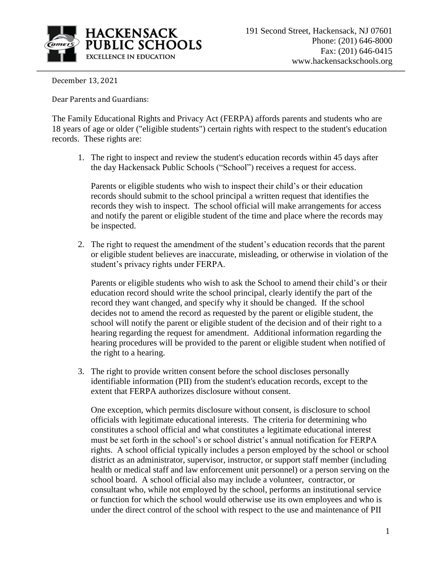

December 13, 2021

Dear Parents and Guardians:

The Family Educational Rights and Privacy Act (FERPA) affords parents and students who are 18 years of age or older ("eligible students") certain rights with respect to the student's education records. These rights are:

1. The right to inspect and review the student's education records within 45 days after the day Hackensack Public Schools ("School") receives a request for access.

Parents or eligible students who wish to inspect their child's or their education records should submit to the school principal a written request that identifies the records they wish to inspect. The school official will make arrangements for access and notify the parent or eligible student of the time and place where the records may be inspected.

2. The right to request the amendment of the student's education records that the parent or eligible student believes are inaccurate, misleading, or otherwise in violation of the student's privacy rights under FERPA.

Parents or eligible students who wish to ask the School to amend their child's or their education record should write the school principal, clearly identify the part of the record they want changed, and specify why it should be changed. If the school decides not to amend the record as requested by the parent or eligible student, the school will notify the parent or eligible student of the decision and of their right to a hearing regarding the request for amendment. Additional information regarding the hearing procedures will be provided to the parent or eligible student when notified of the right to a hearing.

3. The right to provide written consent before the school discloses personally identifiable information (PII) from the student's education records, except to the extent that FERPA authorizes disclosure without consent.

One exception, which permits disclosure without consent, is disclosure to school officials with legitimate educational interests. The criteria for determining who constitutes a school official and what constitutes a legitimate educational interest must be set forth in the school's or school district's annual notification for FERPA rights. A school official typically includes a person employed by the school or school district as an administrator, supervisor, instructor, or support staff member (including health or medical staff and law enforcement unit personnel) or a person serving on the school board. A school official also may include a volunteer, contractor, or consultant who, while not employed by the school, performs an institutional service or function for which the school would otherwise use its own employees and who is under the direct control of the school with respect to the use and maintenance of PII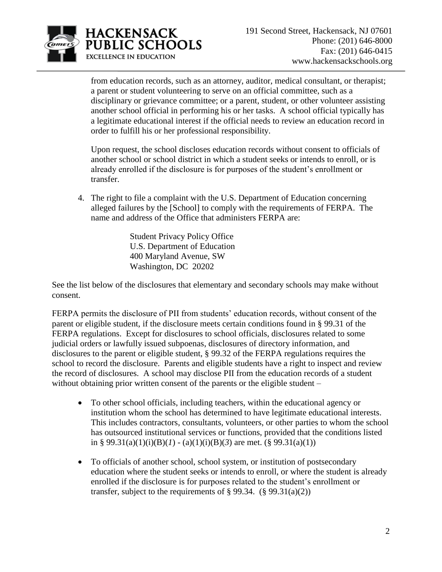

from education records, such as an attorney, auditor, medical consultant, or therapist; a parent or student volunteering to serve on an official committee, such as a disciplinary or grievance committee; or a parent, student, or other volunteer assisting another school official in performing his or her tasks. A school official typically has a legitimate educational interest if the official needs to review an education record in order to fulfill his or her professional responsibility.

Upon request, the school discloses education records without consent to officials of another school or school district in which a student seeks or intends to enroll, or is already enrolled if the disclosure is for purposes of the student's enrollment or transfer.

4. The right to file a complaint with the U.S. Department of Education concerning alleged failures by the [School] to comply with the requirements of FERPA. The name and address of the Office that administers FERPA are:

> Student Privacy Policy Office U.S. Department of Education 400 Maryland Avenue, SW Washington, DC 20202

See the list below of the disclosures that elementary and secondary schools may make without consent.

FERPA permits the disclosure of PII from students' education records, without consent of the parent or eligible student, if the disclosure meets certain conditions found in § 99.31 of the FERPA regulations. Except for disclosures to school officials, disclosures related to some judicial orders or lawfully issued subpoenas, disclosures of directory information, and disclosures to the parent or eligible student, § 99.32 of the FERPA regulations requires the school to record the disclosure. Parents and eligible students have a right to inspect and review the record of disclosures. A school may disclose PII from the education records of a student without obtaining prior written consent of the parents or the eligible student –

- To other school officials, including teachers, within the educational agency or institution whom the school has determined to have legitimate educational interests. This includes contractors, consultants, volunteers, or other parties to whom the school has outsourced institutional services or functions, provided that the conditions listed in § 99.31(a)(1)(i)(B)(*l*) - (a)(1)(i)(B)(3) are met. (§ 99.31(a)(1))
- To officials of another school, school system, or institution of postsecondary education where the student seeks or intends to enroll, or where the student is already enrolled if the disclosure is for purposes related to the student's enrollment or transfer, subject to the requirements of  $\S 99.34.$  ( $\S 99.31(a)(2)$ )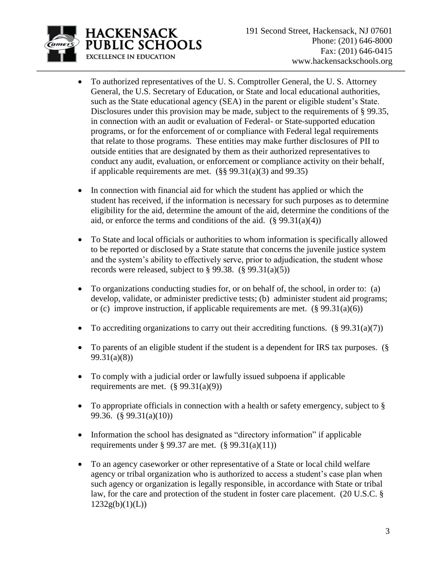

- To authorized representatives of the U. S. Comptroller General, the U. S. Attorney General, the U.S. Secretary of Education, or State and local educational authorities, such as the State educational agency (SEA) in the parent or eligible student's State. Disclosures under this provision may be made, subject to the requirements of § 99.35, in connection with an audit or evaluation of Federal- or State-supported education programs, or for the enforcement of or compliance with Federal legal requirements that relate to those programs. These entities may make further disclosures of PII to outside entities that are designated by them as their authorized representatives to conduct any audit, evaluation, or enforcement or compliance activity on their behalf, if applicable requirements are met.  $(\S$ § 99.31(a)(3) and 99.35)
- In connection with financial aid for which the student has applied or which the student has received, if the information is necessary for such purposes as to determine eligibility for the aid, determine the amount of the aid, determine the conditions of the aid, or enforce the terms and conditions of the aid.  $(\S$  99.31(a)(4))
- To State and local officials or authorities to whom information is specifically allowed to be reported or disclosed by a State statute that concerns the juvenile justice system and the system's ability to effectively serve, prior to adjudication, the student whose records were released, subject to  $\S 99.38$ . ( $\S 99.31(a)(5)$ )
- To organizations conducting studies for, or on behalf of, the school, in order to: (a) develop, validate, or administer predictive tests; (b) administer student aid programs; or (c) improve instruction, if applicable requirements are met.  $(\S 99.31(a)(6))$
- To accrediting organizations to carry out their accrediting functions.  $(\S 99.31(a)(7))$
- To parents of an eligible student if the student is a dependent for IRS tax purposes. (§ 99.31(a)(8))
- To comply with a judicial order or lawfully issued subpoena if applicable requirements are met.  $(\S 99.31(a)(9))$
- To appropriate officials in connection with a health or safety emergency, subject to § 99.36. (§ 99.31(a)(10))
- Information the school has designated as "directory information" if applicable requirements under § 99.37 are met.  $(\S$  99.31(a)(11))
- To an agency caseworker or other representative of a State or local child welfare agency or tribal organization who is authorized to access a student's case plan when such agency or organization is legally responsible, in accordance with State or tribal law, for the care and protection of the student in foster care placement. (20 U.S.C. §  $1232g(b)(1)(L))$